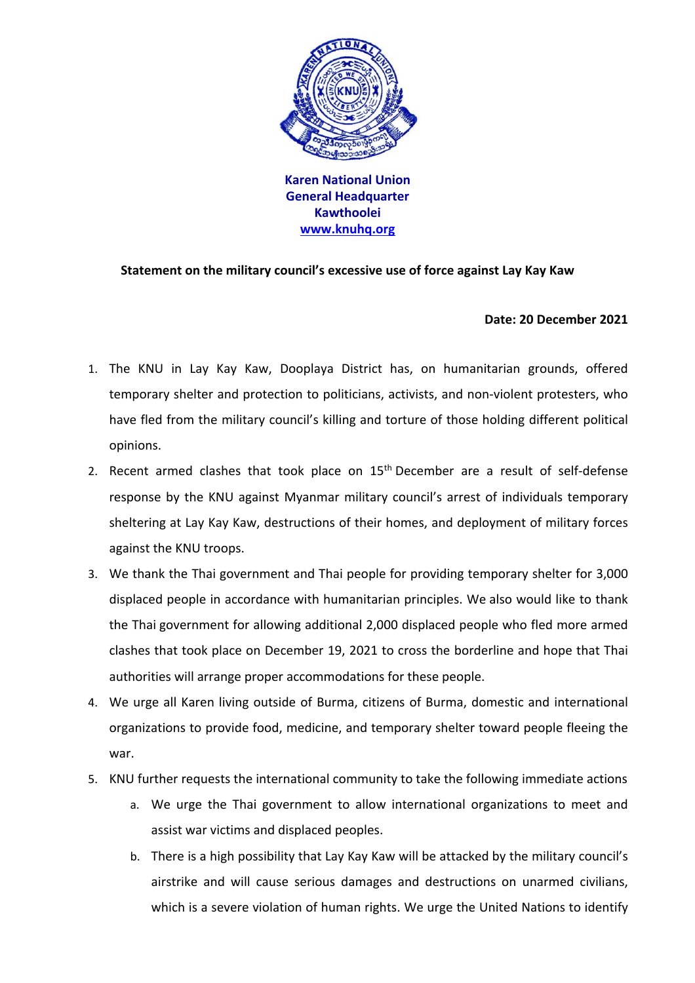

**Karen National Union General Headquarter Kawthoolei www.knuhq.org**

## **Statement on the military council's excessive use of force against Lay Kay Kaw**

## **Date: 20 December 2021**

- 1. The KNU in Lay Kay Kaw, Dooplaya District has, on humanitarian grounds, offered temporary shelter and protection to politicians, activists, and non-violent protesters, who have fled from the military council's killing and torture of those holding different political opinions.
- 2. Recent armed clashes that took place on  $15<sup>th</sup>$  December are a result of self-defense response by the KNU against Myanmar military council's arrest of individuals temporary sheltering at Lay Kay Kaw, destructions of their homes, and deployment of military forces against the KNU troops.
- 3. We thank the Thai government and Thai people for providing temporary shelter for 3,000 displaced people in accordance with humanitarian principles. We also would like to thank the Thai government for allowing additional 2,000 displaced people who fled more armed clashes that took place on December 19, 2021 to cross the borderline and hope that Thai authorities will arrange proper accommodations for these people.
- 4. We urge all Karen living outside of Burma, citizens of Burma, domestic and international organizations to provide food, medicine, and temporary shelter toward people fleeing the war.
- 5. KNU further requests the international community to take the following immediate actions
	- a. We urge the Thai government to allow international organizations to meet and assist war victims and displaced peoples.
	- b. There is a high possibility that Lay Kay Kaw will be attacked by the military council's airstrike and will cause serious damages and destructions on unarmed civilians, which is a severe violation of human rights. We urge the United Nations to identify